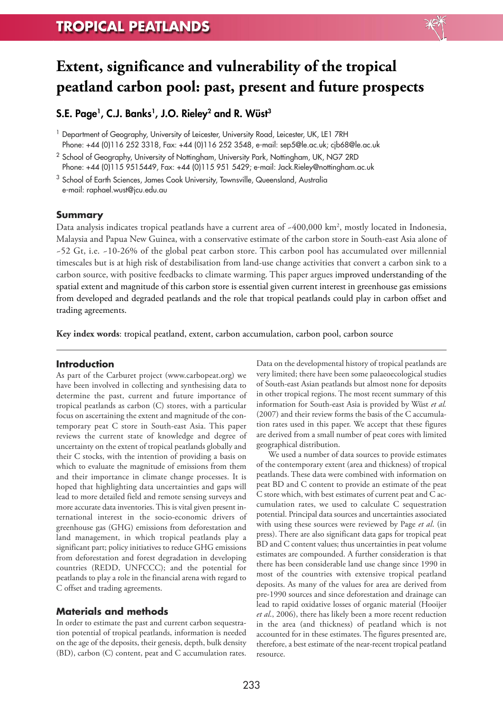

# **S.E. Page1, C.J. Banks1, J.O. Rieley2 and R. Wüst 3**

<sup>1</sup> Department of Geography, University of Leicester, University Road, Leicester, UK, LE1 7RH Phone: +44 (0)116 252 3318, Fax: +44 (0)116 252 3548, e-mail: sep5@le.ac.uk; cjb68@le.ac.uk

<sup>2</sup> School of Geography, University of Nottingham, University Park, Nottingham, UK, NG7 2RD Phone: +44 (0)115 9515449, Fax: +44 (0)115 951 5429; e-mail: Jack.Rieley@nottingham.ac.uk

<sup>3</sup> School of Earth Sciences, James Cook University, Townsville, Queensland, Australia e-mail: raphael.wust@jcu.edu.au

#### **Summary**

Data analysis indicates tropical peatlands have a current area of ~400,000 km2 , mostly located in Indonesia, Malaysia and Papua New Guinea, with a conservative estimate of the carbon store in South-east Asia alone of ~52 Gt, i.e. ~10-26% of the global peat carbon store. This carbon pool has accumulated over millennial timescales but is at high risk of destabilisation from land-use change activities that convert a carbon sink to a carbon source, with positive feedbacks to climate warming. This paper argues improved understanding of the spatial extent and magnitude of this carbon store is essential given current interest in greenhouse gas emissions from developed and degraded peatlands and the role that tropical peatlands could play in carbon offset and trading agreements.

**Key index words**: tropical peatland, extent, carbon accumulation, carbon pool, carbon source

### **Introduction**

As part of the Carburet project (www.carbopeat.org) we have been involved in collecting and synthesising data to determine the past, current and future importance of tropical peatlands as carbon (C) stores, with a particular focus on ascertaining the extent and magnitude of the contemporary peat C store in South-east Asia. This paper reviews the current state of knowledge and degree of uncertainty on the extent of tropical peatlands globally and their C stocks, with the intention of providing a basis on which to evaluate the magnitude of emissions from them and their importance in climate change processes. It is hoped that highlighting data uncertainties and gaps will lead to more detailed field and remote sensing surveys and more accurate data inventories.This is vital given present international interest in the socio-economic drivers of greenhouse gas (GHG) emissions from deforestation and land management, in which tropical peatlands play a significant part; policy initiatives to reduce GHG emissions from deforestation and forest degradation in developing countries (REDD, UNFCCC); and the potential for peatlands to play a role in the financial arena with regard to C offset and trading agreements.

### **Materials and methods**

In order to estimate the past and current carbon sequestration potential of tropical peatlands, information is needed on the age of the deposits, their genesis, depth, bulk density (BD), carbon (C) content, peat and C accumulation rates.

Data on the developmental history of tropical peatlands are very limited; there have been some palaeoecological studies of South-east Asian peatlands but almost none for deposits in other tropical regions. The most recent summary of this information for South-east Asia is provided by Wüst *et al.* (2007) and their review forms the basis of the C accumulation rates used in this paper. We accept that these figures are derived from a small number of peat cores with limited geographical distribution.

We used a number of data sources to provide estimates of the contemporary extent (area and thickness) of tropical peatlands. These data were combined with information on peat BD and C content to provide an estimate of the peat C store which, with best estimates of current peat and C accumulation rates, we used to calculate C sequestration potential. Principal data sources and uncertainties associated with using these sources were reviewed by Page *et al*. (in press). There are also significant data gaps for tropical peat BD and C content values; thus uncertainties in peat volume estimates are compounded. A further consideration is that there has been considerable land use change since 1990 in most of the countries with extensive tropical peatland deposits. As many of the values for area are derived from pre-1990 sources and since deforestation and drainage can lead to rapid oxidative losses of organic material (Hooijer *et al*., 2006), there has likely been a more recent reduction in the area (and thickness) of peatland which is not accounted for in these estimates. The figures presented are, therefore, a best estimate of the near-recent tropical peatland resource.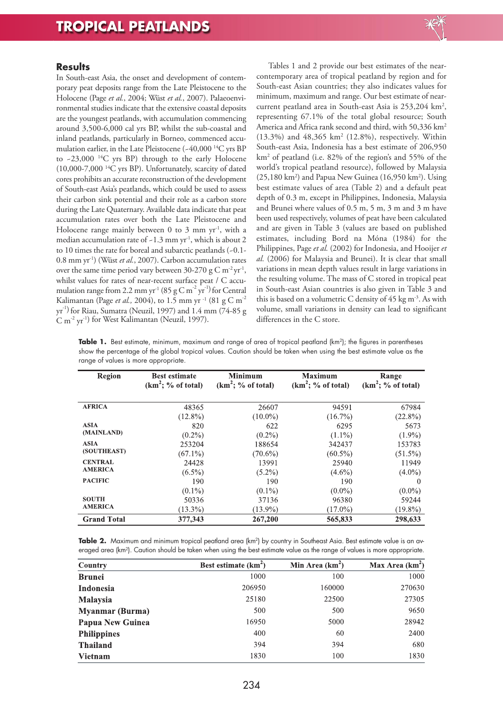

## **Results**

In South-east Asia, the onset and development of contemporary peat deposits range from the Late Pleistocene to the Holocene (Page *et al.*, 2004; Wüst *et al.*, 2007). Palaeoenvironmental studies indicate that the extensive coastal deposits are the youngest peatlands, with accumulation commencing around 3,500-6,000 cal yrs BP, whilst the sub-coastal and inland peatlands, particularly in Borneo, commenced accumulation earlier, in the Late Pleistocene(~40,000 <sup>14</sup> C yrs BP to ~23,000 <sup>14</sup> C yrs BP) through to the early Holocene (10,000-7,000 <sup>14</sup> C yrs BP). Unfortunately, scarcity of dated cores prohibits an accurate reconstruction of the development of South-east Asia's peatlands, which could be used to assess their carbon sink potential and their role as a carbon store during the Late Quaternary. Available data indicate that peat accumulation rates over both the Late Pleistocene and Holocene range mainly between 0 to 3 mm yr<sup>-1</sup>, with a median accumulation rate of ~1.3 mm yr<sup>-1</sup>, which is about 2 to 10 times the rate for boreal and subarctic peatlands (~0.1- 0.8 mm yr -1 ) (Wüst *et al.*, 2007). Carbon accumulation rates over the same time period vary between  $30-270$  g C m<sup>-2</sup> yr<sup>-1</sup>, whilst values for rates of near-recent surface peat / C accumulation range from 2.2 mm yr<sup>-1</sup> (85 g C m<sup>-2</sup> yr<sup>-1</sup>) for Central Kalimantan (Page *et al.*, 2004), to 1.5 mm yr<sup>-1</sup> (81 g C m<sup>-2</sup>) yr<sup>-1)</sup> for Riau, Sumatra (Neuzil, 1997) and 1.4 mm (74-85 g  $\text{C m}^2 \text{ yr}^1$ ) for West Kalimantan (Neuzil, 1997).

Tables 1 and 2 provide our best estimates of the nearcontemporary area of tropical peatland by region and for South-east Asian countries; they also indicates values for minimum, maximum and range. Our best estimate of nearcurrent peatland area in South-east Asia is 253,204 km<sup>2</sup>, representing 67.1% of the total global resource; South America and Africa rank second and third, with 50,336 km2 (13.3%) and 48,365 km2 (12.8%), respectively. Within South-east Asia, Indonesia has a best estimate of 206,950 km2 of peatland (i.e. 82% of the region's and 55% of the world's tropical peatland resource), followed by Malaysia (25,180 km<sup>2</sup>) and Papua New Guinea (16,950 km<sup>2</sup>). Using best estimate values of area (Table 2) and a default peat depth of 0.3 m, except in Philippines, Indonesia, Malaysia and Brunei where values of 0.5 m, 5 m, 3 m and 3 m have been used respectively, volumes of peat have been calculated and are given in Table 3 (values are based on published estimates, including Bord na Móna (1984) for the Philippines, Page *et al.* (2002) for Indonesia, and Hooijer *et al.* (2006) for Malaysia and Brunei). It is clear that small variations in mean depth values result in large variations in the resulting volume. The mass of C stored in tropical peat in South-east Asian countries is also given in Table 3 and this is based on a volumetric C density of  $45 \text{ kg m}^3$ . As with volume, small variations in density can lead to significant differences in the C store.

**Table 1.** Best estimate, minimum, maximum and range of area of tropical peatland (km2); the figures in parentheses show the percentage of the global tropical values. Caution should be taken when using the best estimate value as the range of values is more appropriate.

| Region             | <b>Best estimate</b><br>$(km^2; %$ of total) | <b>Minimum</b><br>$(km^2; %$ of total) | <b>Maximum</b><br>$(km^2; %$ of total) | Range<br>$(km^2; %$ of total) |
|--------------------|----------------------------------------------|----------------------------------------|----------------------------------------|-------------------------------|
| <b>AFRICA</b>      | 48365                                        | 26607                                  | 94591                                  | 67984                         |
|                    | $(12.8\%)$                                   | $(10.0\%)$                             | $(16.7\%)$                             | $(22.8\%)$                    |
| <b>ASIA</b>        | 820                                          | 622                                    | 6295                                   | 5673                          |
| (MAINLAND)         | $(0.2\%)$                                    | $(0.2\%)$                              | $(1.1\%)$                              | $(1.9\%)$                     |
| <b>ASIA</b>        | 253204                                       | 188654                                 | 342437                                 | 153783                        |
| (SOUTHEAST)        | $(67.1\%)$                                   | $(70.6\%)$                             | $(60.5\%)$                             | $(51.5\%)$                    |
| <b>CENTRAL</b>     | 24428                                        | 13991                                  | 25940                                  | 11949                         |
| <b>AMERICA</b>     | $(6.5\%)$                                    | $(5.2\%)$                              | $(4.6\%)$                              | $(4.0\%)$                     |
| <b>PACIFIC</b>     | 190                                          | 190                                    | 190                                    | $\theta$                      |
|                    | $(0.1\%)$                                    | $(0.1\%)$                              | $(0.0\%)$                              | $(0.0\%)$                     |
| <b>SOUTH</b>       | 50336                                        | 37136                                  | 96380                                  | 59244                         |
| <b>AMERICA</b>     | $(13.3\%)$                                   | $(13.9\%)$                             | $(17.0\%)$                             | $(19.8\%)$                    |
| <b>Grand Total</b> | 377,343                                      | 267,200                                | 565,833                                | 298,633                       |

| Table 2. Maximum and minimum tropical peatland area (km <sup>2</sup> ) by country in Southeast Asia. Best estimate value is an av-     |  |  |
|----------------------------------------------------------------------------------------------------------------------------------------|--|--|
| eraged area (km <sup>2</sup> ). Caution should be taken when using the best estimate value as the range of values is more appropriate. |  |  |

| <b>Country</b>         | Best estimate $(km^2)$ | Min Area $(km2)$ | Max Area $(km^2)$ |
|------------------------|------------------------|------------------|-------------------|
| <b>Brunei</b>          | 1000                   | 100              | 1000              |
| <b>Indonesia</b>       | 206950                 | 160000           | 270630            |
| Malaysia               | 25180                  | 22500            | 27305             |
| <b>Myanmar</b> (Burma) | 500                    | 500              | 9650              |
| Papua New Guinea       | 16950                  | 5000             | 28942             |
| <b>Philippines</b>     | 400                    | 60               | 2400              |
| <b>Thailand</b>        | 394                    | 394              | 680               |
| <b>Vietnam</b>         | 1830                   | 100              | 1830              |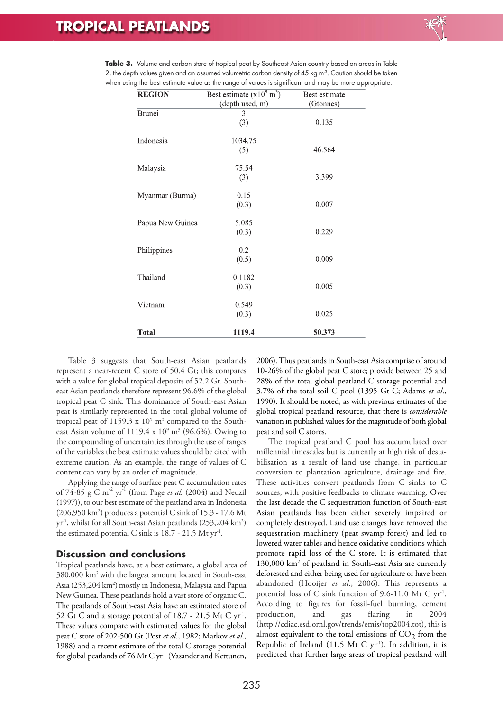

| <b>REGION</b>    | Best estimate $(x10^9 \text{ m}^3)$ | Best estimate |
|------------------|-------------------------------------|---------------|
|                  | (depth used, m)                     | (Gtonnes)     |
| Brunei           | 3                                   |               |
|                  | (3)                                 | 0.135         |
| Indonesia        | 1034.75                             |               |
|                  | (5)                                 | 46.564        |
| Malaysia         | 75.54                               |               |
|                  | (3)                                 | 3.399         |
| Myanmar (Burma)  | 0.15                                |               |
|                  | (0.3)                               | 0.007         |
| Papua New Guinea | 5.085                               |               |
|                  | (0.3)                               | 0.229         |
| Philippines      | 0.2                                 |               |
|                  | (0.5)                               | 0.009         |
| Thailand         | 0.1182                              |               |
|                  | (0.3)                               | 0.005         |
| Vietnam          | 0.549                               |               |
|                  | (0.3)                               | 0.025         |
| <b>Total</b>     | 1119.4                              | 50.373        |

**Table 3.** Volume and carbon store of tropical peat by Southeast Asian country based on areas in Table 2, the depth values given and an assumed volumetric carbon density of 45 kg m<sup>3</sup>. Caution should be taken when using the best estimate value as the range of values is significant and may be more appropriate.

Table 3 suggests that South-east Asian peatlands represent a near-recent C store of 50.4 Gt; this compares with a value for global tropical deposits of 52.2 Gt. Southeast Asian peatlands therefore represent 96.6% of the global tropical peat C sink. This dominance of South-east Asian peat is similarly represented in the total global volume of tropical peat of 1159.3 x  $10^9$  m<sup>3</sup> compared to the Southeast Asian volume of 1119.4 x  $10^9$  m<sup>3</sup> (96.6%). Owing to the compounding of uncertainties through the use of ranges of the variables the best estimate values should be cited with extreme caution. As an example, the range of values of C content can vary by an order of magnitude.

Applying the range of surface peat C accumulation rates of 74-85 g C m-2 yr -1 (from Page *et al.* (2004) and Neuzil (1997)), to our best estimate of the peatland area in Indonesia (206,950 km2 ) produces a potential C sink of 15.3 - 17.6 Mt yr -1 , whilst for all South-east Asian peatlands (253,204 km2 ) the estimated potential C sink is  $18.7$  -  $21.5$  Mt yr<sup>-1</sup>.

# **Discussion and conclusions**

Tropical peatlands have, at a best estimate, a global area of 380,000 km2with the largest amount located in South-east Asia (253,204 km<sup>2</sup>) mostly in Indonesia, Malaysia and Papua New Guinea.These peatlands hold a vast store of organic C. The peatlands of South-east Asia have an estimated store of 52 Gt C and a storage potential of  $18.7$  - 21.5 Mt C yr<sup>-1</sup>. These values compare with estimated values for the global peat C store of 202-500 Gt (Post *et al*., 1982; Markov *et al*., 1988) and a recent estimate of the total C storage potential for global peatlands of 76 Mt C yr<sup>-1</sup> (Vasander and Kettunen,

2006).Thus peatlands in South-east Asia comprise of around 10-26% of the global peat C store; provide between 25 and 28% of the total global peatland C storage potential and 3.7% of the total soil C pool (1395 Gt C; Adams *et al*., 1990). It should be noted, as with previous estimates of the global tropical peatland resource, that there is *considerable* variation in published values for the magnitude of both global peat and soil C stores.

The tropical peatland C pool has accumulated over millennial timescales but is currently at high risk of destabilisation as a result of land use change, in particular conversion to plantation agriculture, drainage and fire. These activities convert peatlands from C sinks to C sources, with positive feedbacks to climate warming. Over the last decade the C sequestration function of South-east Asian peatlands has been either severely impaired or completely destroyed. Land use changes have removed the sequestration machinery (peat swamp forest) and led to lowered water tables and hence oxidative conditions which promote rapid loss of the C store. It is estimated that 130,000 km2 of peatland in South-east Asia are currently deforested and either being used for agriculture or have been abandoned (Hooijer *et al*., 2006). This represents a potential loss of C sink function of 9.6-11.0 Mt C yr-1 . According to figures for fossil-fuel burning, cement production, and gas flaring in 2004 (http://cdiac.esd.ornl.gov/trends/emis/top2004.tot), this is almost equivalent to the total emissions of  $CO<sub>2</sub>$  from the Republic of Ireland  $(11.5 \text{ Mt C yr}^{-1})$ . In addition, it is predicted that further large areas of tropical peatland will